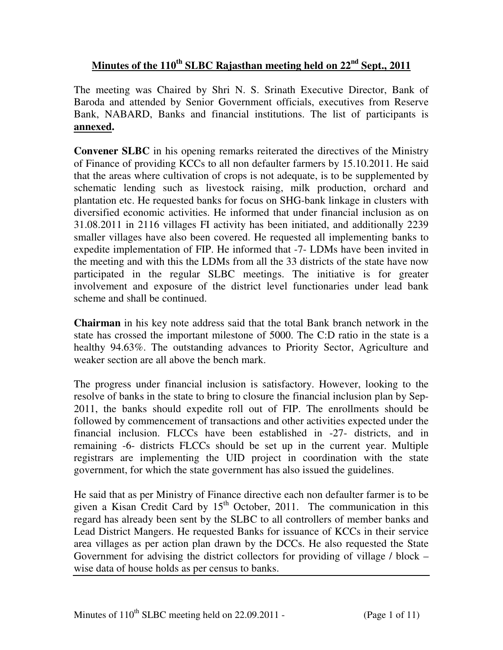# **Minutes of the 110th SLBC Rajasthan meeting held on 22nd Sept., 2011**

The meeting was Chaired by Shri N. S. Srinath Executive Director, Bank of Baroda and attended by Senior Government officials, executives from Reserve Bank, NABARD, Banks and financial institutions. The list of participants is **annexed.**

**Convener SLBC** in his opening remarks reiterated the directives of the Ministry of Finance of providing KCCs to all non defaulter farmers by 15.10.2011. He said that the areas where cultivation of crops is not adequate, is to be supplemented by schematic lending such as livestock raising, milk production, orchard and plantation etc. He requested banks for focus on SHG-bank linkage in clusters with diversified economic activities. He informed that under financial inclusion as on 31.08.2011 in 2116 villages FI activity has been initiated, and additionally 2239 smaller villages have also been covered. He requested all implementing banks to expedite implementation of FIP. He informed that -7- LDMs have been invited in the meeting and with this the LDMs from all the 33 districts of the state have now participated in the regular SLBC meetings. The initiative is for greater involvement and exposure of the district level functionaries under lead bank scheme and shall be continued.

**Chairman** in his key note address said that the total Bank branch network in the state has crossed the important milestone of 5000. The C:D ratio in the state is a healthy 94.63%. The outstanding advances to Priority Sector, Agriculture and weaker section are all above the bench mark.

The progress under financial inclusion is satisfactory. However, looking to the resolve of banks in the state to bring to closure the financial inclusion plan by Sep-2011, the banks should expedite roll out of FIP. The enrollments should be followed by commencement of transactions and other activities expected under the financial inclusion. FLCCs have been established in -27- districts, and in remaining -6- districts FLCCs should be set up in the current year. Multiple registrars are implementing the UID project in coordination with the state government, for which the state government has also issued the guidelines.

He said that as per Ministry of Finance directive each non defaulter farmer is to be given a Kisan Credit Card by  $15<sup>th</sup>$  October, 2011. The communication in this regard has already been sent by the SLBC to all controllers of member banks and Lead District Mangers. He requested Banks for issuance of KCCs in their service area villages as per action plan drawn by the DCCs. He also requested the State Government for advising the district collectors for providing of village / block – wise data of house holds as per census to banks.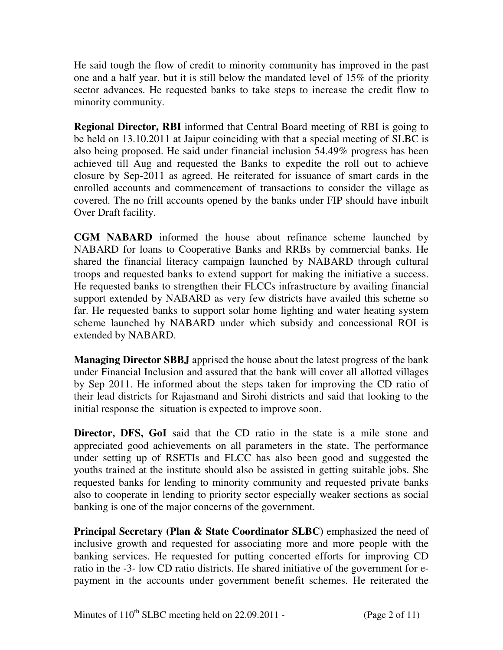He said tough the flow of credit to minority community has improved in the past one and a half year, but it is still below the mandated level of 15% of the priority sector advances. He requested banks to take steps to increase the credit flow to minority community.

**Regional Director, RBI** informed that Central Board meeting of RBI is going to be held on 13.10.2011 at Jaipur coinciding with that a special meeting of SLBC is also being proposed. He said under financial inclusion 54.49% progress has been achieved till Aug and requested the Banks to expedite the roll out to achieve closure by Sep-2011 as agreed. He reiterated for issuance of smart cards in the enrolled accounts and commencement of transactions to consider the village as covered. The no frill accounts opened by the banks under FIP should have inbuilt Over Draft facility.

**CGM NABARD** informed the house about refinance scheme launched by NABARD for loans to Cooperative Banks and RRBs by commercial banks. He shared the financial literacy campaign launched by NABARD through cultural troops and requested banks to extend support for making the initiative a success. He requested banks to strengthen their FLCCs infrastructure by availing financial support extended by NABARD as very few districts have availed this scheme so far. He requested banks to support solar home lighting and water heating system scheme launched by NABARD under which subsidy and concessional ROI is extended by NABARD.

**Managing Director SBBJ** apprised the house about the latest progress of the bank under Financial Inclusion and assured that the bank will cover all allotted villages by Sep 2011. He informed about the steps taken for improving the CD ratio of their lead districts for Rajasmand and Sirohi districts and said that looking to the initial response the situation is expected to improve soon.

**Director, DFS, GoI** said that the CD ratio in the state is a mile stone and appreciated good achievements on all parameters in the state. The performance under setting up of RSETIs and FLCC has also been good and suggested the youths trained at the institute should also be assisted in getting suitable jobs. She requested banks for lending to minority community and requested private banks also to cooperate in lending to priority sector especially weaker sections as social banking is one of the major concerns of the government.

**Principal Secretary (Plan & State Coordinator SLBC)** emphasized the need of inclusive growth and requested for associating more and more people with the banking services. He requested for putting concerted efforts for improving CD ratio in the -3- low CD ratio districts. He shared initiative of the government for epayment in the accounts under government benefit schemes. He reiterated the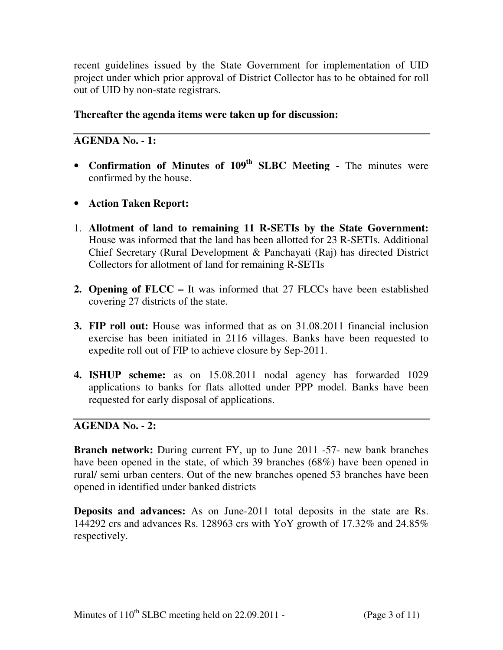recent guidelines issued by the State Government for implementation of UID project under which prior approval of District Collector has to be obtained for roll out of UID by non-state registrars.

### **Thereafter the agenda items were taken up for discussion:**

# **AGENDA No. - 1:**

- **Confirmation of Minutes of 109th SLBC Meeting** The minutes were confirmed by the house.
- **Action Taken Report:**
- 1. **Allotment of land to remaining 11 R-SETIs by the State Government:**  House was informed that the land has been allotted for 23 R-SETIs. Additional Chief Secretary (Rural Development & Panchayati (Raj) has directed District Collectors for allotment of land for remaining R-SETIs
- **2. Opening of FLCC** It was informed that 27 FLCCs have been established covering 27 districts of the state.
- **3. FIP roll out:** House was informed that as on 31.08.2011 financial inclusion exercise has been initiated in 2116 villages. Banks have been requested to expedite roll out of FIP to achieve closure by Sep-2011.
- **4. ISHUP scheme:** as on 15.08.2011 nodal agency has forwarded 1029 applications to banks for flats allotted under PPP model. Banks have been requested for early disposal of applications.

# **AGENDA No. - 2:**

**Branch network:** During current FY, up to June 2011 -57- new bank branches have been opened in the state, of which 39 branches (68%) have been opened in rural/ semi urban centers. Out of the new branches opened 53 branches have been opened in identified under banked districts

**Deposits and advances:** As on June-2011 total deposits in the state are Rs. 144292 crs and advances Rs. 128963 crs with YoY growth of 17.32% and 24.85% respectively.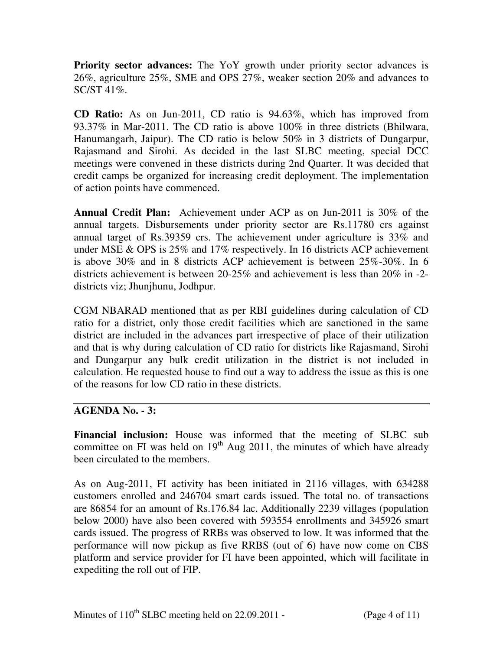**Priority sector advances:** The YoY growth under priority sector advances is 26%, agriculture 25%, SME and OPS 27%, weaker section 20% and advances to SC/ST 41%.

**CD Ratio:** As on Jun-2011, CD ratio is 94.63%, which has improved from 93.37% in Mar-2011. The CD ratio is above 100% in three districts (Bhilwara, Hanumangarh, Jaipur). The CD ratio is below 50% in 3 districts of Dungarpur, Rajasmand and Sirohi. As decided in the last SLBC meeting, special DCC meetings were convened in these districts during 2nd Quarter. It was decided that credit camps be organized for increasing credit deployment. The implementation of action points have commenced.

**Annual Credit Plan:** Achievement under ACP as on Jun-2011 is 30% of the annual targets. Disbursements under priority sector are Rs.11780 crs against annual target of Rs.39359 crs. The achievement under agriculture is 33% and under MSE & OPS is 25% and 17% respectively. In 16 districts ACP achievement is above 30% and in 8 districts ACP achievement is between 25%-30%. In 6 districts achievement is between 20-25% and achievement is less than 20% in -2 districts viz; Jhunjhunu, Jodhpur.

CGM NBARAD mentioned that as per RBI guidelines during calculation of CD ratio for a district, only those credit facilities which are sanctioned in the same district are included in the advances part irrespective of place of their utilization and that is why during calculation of CD ratio for districts like Rajasmand, Sirohi and Dungarpur any bulk credit utilization in the district is not included in calculation. He requested house to find out a way to address the issue as this is one of the reasons for low CD ratio in these districts.

### **AGENDA No. - 3:**

**Financial inclusion:** House was informed that the meeting of SLBC sub committee on FI was held on  $19<sup>th</sup>$  Aug 2011, the minutes of which have already been circulated to the members.

As on Aug-2011, FI activity has been initiated in 2116 villages, with 634288 customers enrolled and 246704 smart cards issued. The total no. of transactions are 86854 for an amount of Rs.176.84 lac. Additionally 2239 villages (population below 2000) have also been covered with 593554 enrollments and 345926 smart cards issued. The progress of RRBs was observed to low. It was informed that the performance will now pickup as five RRBS (out of 6) have now come on CBS platform and service provider for FI have been appointed, which will facilitate in expediting the roll out of FIP.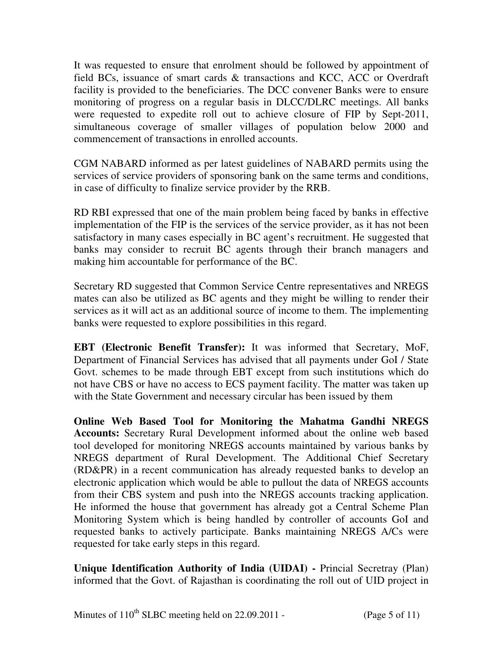It was requested to ensure that enrolment should be followed by appointment of field BCs, issuance of smart cards & transactions and KCC, ACC or Overdraft facility is provided to the beneficiaries. The DCC convener Banks were to ensure monitoring of progress on a regular basis in DLCC/DLRC meetings. All banks were requested to expedite roll out to achieve closure of FIP by Sept-2011, simultaneous coverage of smaller villages of population below 2000 and commencement of transactions in enrolled accounts.

CGM NABARD informed as per latest guidelines of NABARD permits using the services of service providers of sponsoring bank on the same terms and conditions, in case of difficulty to finalize service provider by the RRB.

RD RBI expressed that one of the main problem being faced by banks in effective implementation of the FIP is the services of the service provider, as it has not been satisfactory in many cases especially in BC agent's recruitment. He suggested that banks may consider to recruit BC agents through their branch managers and making him accountable for performance of the BC.

Secretary RD suggested that Common Service Centre representatives and NREGS mates can also be utilized as BC agents and they might be willing to render their services as it will act as an additional source of income to them. The implementing banks were requested to explore possibilities in this regard.

**EBT (Electronic Benefit Transfer):** It was informed that Secretary, MoF, Department of Financial Services has advised that all payments under GoI / State Govt. schemes to be made through EBT except from such institutions which do not have CBS or have no access to ECS payment facility. The matter was taken up with the State Government and necessary circular has been issued by them

**Online Web Based Tool for Monitoring the Mahatma Gandhi NREGS Accounts:** Secretary Rural Development informed about the online web based tool developed for monitoring NREGS accounts maintained by various banks by NREGS department of Rural Development. The Additional Chief Secretary (RD&PR) in a recent communication has already requested banks to develop an electronic application which would be able to pullout the data of NREGS accounts from their CBS system and push into the NREGS accounts tracking application. He informed the house that government has already got a Central Scheme Plan Monitoring System which is being handled by controller of accounts GoI and requested banks to actively participate. Banks maintaining NREGS A/Cs were requested for take early steps in this regard.

**Unique Identification Authority of India (UIDAI) -** Princial Secretray (Plan) informed that the Govt. of Rajasthan is coordinating the roll out of UID project in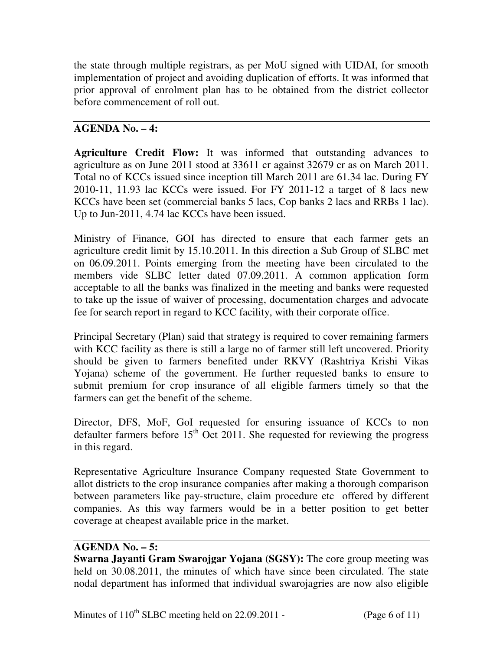the state through multiple registrars, as per MoU signed with UIDAI, for smooth implementation of project and avoiding duplication of efforts. It was informed that prior approval of enrolment plan has to be obtained from the district collector before commencement of roll out.

# **AGENDA No. – 4:**

**Agriculture Credit Flow:** It was informed that outstanding advances to agriculture as on June 2011 stood at 33611 cr against 32679 cr as on March 2011. Total no of KCCs issued since inception till March 2011 are 61.34 lac. During FY 2010-11, 11.93 lac KCCs were issued. For FY 2011-12 a target of 8 lacs new KCCs have been set (commercial banks 5 lacs, Cop banks 2 lacs and RRBs 1 lac). Up to Jun-2011, 4.74 lac KCCs have been issued.

Ministry of Finance, GOI has directed to ensure that each farmer gets an agriculture credit limit by 15.10.2011. In this direction a Sub Group of SLBC met on 06.09.2011. Points emerging from the meeting have been circulated to the members vide SLBC letter dated 07.09.2011. A common application form acceptable to all the banks was finalized in the meeting and banks were requested to take up the issue of waiver of processing, documentation charges and advocate fee for search report in regard to KCC facility, with their corporate office.

Principal Secretary (Plan) said that strategy is required to cover remaining farmers with KCC facility as there is still a large no of farmer still left uncovered. Priority should be given to farmers benefited under RKVY (Rashtriya Krishi Vikas Yojana) scheme of the government. He further requested banks to ensure to submit premium for crop insurance of all eligible farmers timely so that the farmers can get the benefit of the scheme.

Director, DFS, MoF, GoI requested for ensuring issuance of KCCs to non defaulter farmers before  $15<sup>th</sup>$  Oct 2011. She requested for reviewing the progress in this regard.

Representative Agriculture Insurance Company requested State Government to allot districts to the crop insurance companies after making a thorough comparison between parameters like pay-structure, claim procedure etc offered by different companies. As this way farmers would be in a better position to get better coverage at cheapest available price in the market.

### **AGENDA No. – 5:**

**Swarna Jayanti Gram Swarojgar Yojana (SGSY):** The core group meeting was held on 30.08.2011, the minutes of which have since been circulated. The state nodal department has informed that individual swarojagries are now also eligible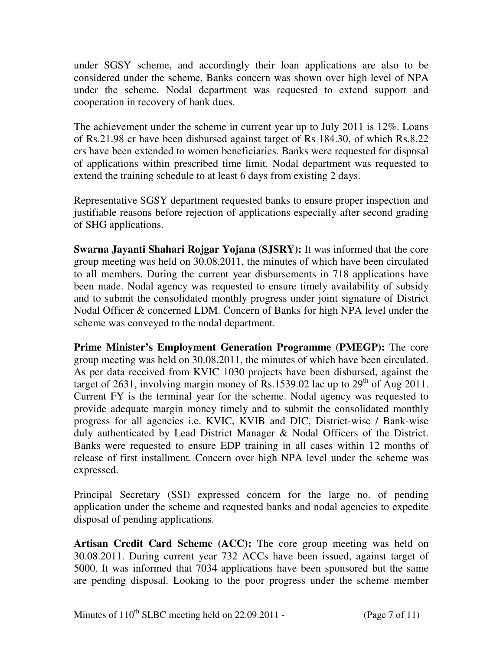under SGSY scheme, and accordingly their loan applications are also to be considered under the scheme. Banks concern was shown over high level of NPA under the scheme. Nodal department was requested to extend support and cooperation in recovery of bank dues.

The achievement under the scheme in current year up to July 2011 is 12%. Loans of Rs.21.98 cr have been disbursed against target of Rs 184.30, of which Rs.8.22 crs have been extended to women beneficiaries. Banks were requested for disposal of applications within prescribed time limit. Nodal department was requested to extend the training schedule to at least 6 days from existing 2 days.

Representative SGSY department requested banks to ensure proper inspection and justifiable reasons before rejection of applications especially after second grading of SHG applications.

**Swarna Jayanti Shahari Rojgar Yojana (SJSRY):** It was informed that the core group meeting was held on 30.08.2011, the minutes of which have been circulated to all members. During the current year disbursements in 718 applications have been made. Nodal agency was requested to ensure timely availability of subsidy and to submit the consolidated monthly progress under joint signature of District Nodal Officer & concerned LDM. Concern of Banks for high NPA level under the scheme was conveyed to the nodal department.

**Prime Minister's Employment Generation Programme (PMEGP):** The core group meeting was held on 30.08.2011, the minutes of which have been circulated. As per data received from KVIC 1030 projects have been disbursed, against the target of 2631, involving margin money of Rs.1539.02 lac up to  $29<sup>th</sup>$  of Aug 2011. Current FY is the terminal year for the scheme. Nodal agency was requested to provide adequate margin money timely and to submit the consolidated monthly progress for all agencies i.e. KVIC, KVIB and DIC, District-wise / Bank-wise duly authenticated by Lead District Manager & Nodal Officers of the District. Banks were requested to ensure EDP training in all cases within 12 months of release of first installment. Concern over high NPA level under the scheme was expressed.

Principal Secretary (SSI) expressed concern for the large no. of pending application under the scheme and requested banks and nodal agencies to expedite disposal of pending applications.

**Artisan Credit Card Scheme (ACC):** The core group meeting was held on 30.08.2011. During current year 732 ACCs have been issued, against target of 5000. It was informed that 7034 applications have been sponsored but the same are pending disposal. Looking to the poor progress under the scheme member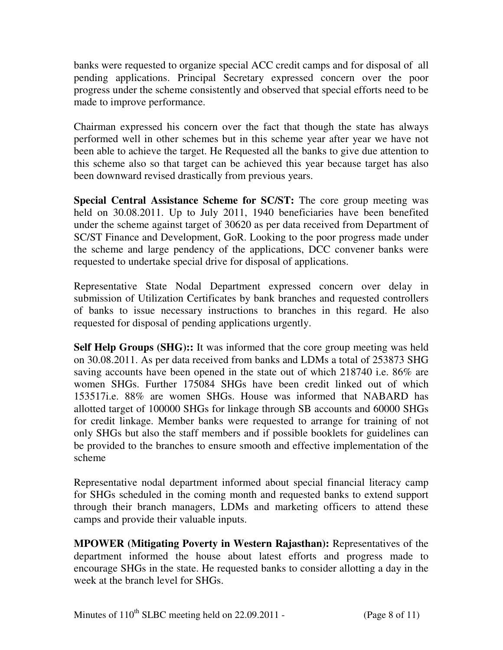banks were requested to organize special ACC credit camps and for disposal of all pending applications. Principal Secretary expressed concern over the poor progress under the scheme consistently and observed that special efforts need to be made to improve performance.

Chairman expressed his concern over the fact that though the state has always performed well in other schemes but in this scheme year after year we have not been able to achieve the target. He Requested all the banks to give due attention to this scheme also so that target can be achieved this year because target has also been downward revised drastically from previous years.

**Special Central Assistance Scheme for SC/ST:** The core group meeting was held on 30.08.2011. Up to July 2011, 1940 beneficiaries have been benefited under the scheme against target of 30620 as per data received from Department of SC/ST Finance and Development, GoR. Looking to the poor progress made under the scheme and large pendency of the applications, DCC convener banks were requested to undertake special drive for disposal of applications.

Representative State Nodal Department expressed concern over delay in submission of Utilization Certificates by bank branches and requested controllers of banks to issue necessary instructions to branches in this regard. He also requested for disposal of pending applications urgently.

**Self Help Groups (SHG)::** It was informed that the core group meeting was held on 30.08.2011. As per data received from banks and LDMs a total of 253873 SHG saving accounts have been opened in the state out of which 218740 i.e. 86% are women SHGs. Further 175084 SHGs have been credit linked out of which 153517i.e. 88% are women SHGs. House was informed that NABARD has allotted target of 100000 SHGs for linkage through SB accounts and 60000 SHGs for credit linkage. Member banks were requested to arrange for training of not only SHGs but also the staff members and if possible booklets for guidelines can be provided to the branches to ensure smooth and effective implementation of the scheme

Representative nodal department informed about special financial literacy camp for SHGs scheduled in the coming month and requested banks to extend support through their branch managers, LDMs and marketing officers to attend these camps and provide their valuable inputs.

**MPOWER (Mitigating Poverty in Western Rajasthan):** Representatives of the department informed the house about latest efforts and progress made to encourage SHGs in the state. He requested banks to consider allotting a day in the week at the branch level for SHGs.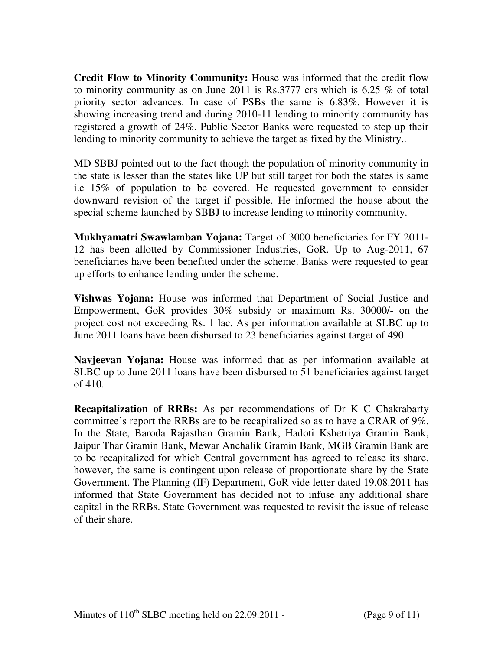**Credit Flow to Minority Community:** House was informed that the credit flow to minority community as on June 2011 is Rs.3777 crs which is 6.25 % of total priority sector advances. In case of PSBs the same is 6.83%. However it is showing increasing trend and during 2010-11 lending to minority community has registered a growth of 24%. Public Sector Banks were requested to step up their lending to minority community to achieve the target as fixed by the Ministry..

MD SBBJ pointed out to the fact though the population of minority community in the state is lesser than the states like UP but still target for both the states is same i.e 15% of population to be covered. He requested government to consider downward revision of the target if possible. He informed the house about the special scheme launched by SBBJ to increase lending to minority community.

**Mukhyamatri Swawlamban Yojana:** Target of 3000 beneficiaries for FY 2011- 12 has been allotted by Commissioner Industries, GoR. Up to Aug-2011, 67 beneficiaries have been benefited under the scheme. Banks were requested to gear up efforts to enhance lending under the scheme.

**Vishwas Yojana:** House was informed that Department of Social Justice and Empowerment, GoR provides 30% subsidy or maximum Rs. 30000/- on the project cost not exceeding Rs. 1 lac. As per information available at SLBC up to June 2011 loans have been disbursed to 23 beneficiaries against target of 490.

**Navjeevan Yojana:** House was informed that as per information available at SLBC up to June 2011 loans have been disbursed to 51 beneficiaries against target of 410.

**Recapitalization of RRBs:** As per recommendations of Dr K C Chakrabarty committee's report the RRBs are to be recapitalized so as to have a CRAR of 9%. In the State, Baroda Rajasthan Gramin Bank, Hadoti Kshetriya Gramin Bank, Jaipur Thar Gramin Bank, Mewar Anchalik Gramin Bank, MGB Gramin Bank are to be recapitalized for which Central government has agreed to release its share, however, the same is contingent upon release of proportionate share by the State Government. The Planning (IF) Department, GoR vide letter dated 19.08.2011 has informed that State Government has decided not to infuse any additional share capital in the RRBs. State Government was requested to revisit the issue of release of their share.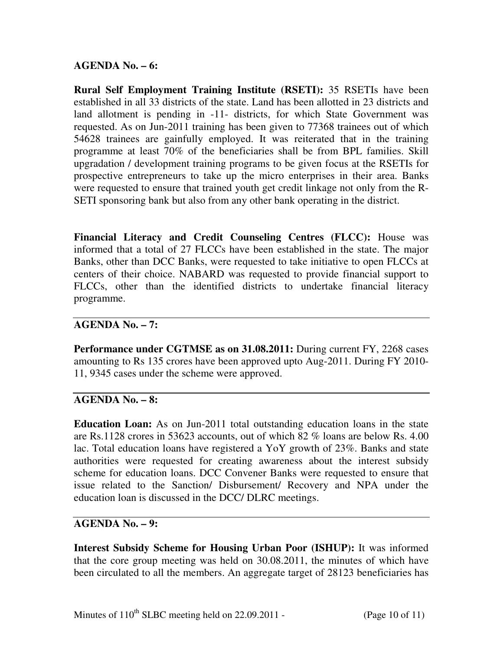#### **AGENDA No. – 6:**

**Rural Self Employment Training Institute (RSETI):** 35 RSETIs have been established in all 33 districts of the state. Land has been allotted in 23 districts and land allotment is pending in -11- districts, for which State Government was requested. As on Jun-2011 training has been given to 77368 trainees out of which 54628 trainees are gainfully employed. It was reiterated that in the training programme at least 70% of the beneficiaries shall be from BPL families. Skill upgradation / development training programs to be given focus at the RSETIs for prospective entrepreneurs to take up the micro enterprises in their area. Banks were requested to ensure that trained youth get credit linkage not only from the R-SETI sponsoring bank but also from any other bank operating in the district.

**Financial Literacy and Credit Counseling Centres (FLCC):** House was informed that a total of 27 FLCCs have been established in the state. The major Banks, other than DCC Banks, were requested to take initiative to open FLCCs at centers of their choice. NABARD was requested to provide financial support to FLCCs, other than the identified districts to undertake financial literacy programme.

#### **AGENDA No. – 7:**

Performance under CGTMSE as on 31.08.2011: During current FY, 2268 cases amounting to Rs 135 crores have been approved upto Aug-2011. During FY 2010- 11, 9345 cases under the scheme were approved.

#### **AGENDA No. – 8:**

**Education Loan:** As on Jun-2011 total outstanding education loans in the state are Rs.1128 crores in 53623 accounts, out of which 82 % loans are below Rs. 4.00 lac. Total education loans have registered a YoY growth of 23%. Banks and state authorities were requested for creating awareness about the interest subsidy scheme for education loans. DCC Convener Banks were requested to ensure that issue related to the Sanction/ Disbursement/ Recovery and NPA under the education loan is discussed in the DCC/ DLRC meetings.

#### **AGENDA No. – 9:**

**Interest Subsidy Scheme for Housing Urban Poor (ISHUP):** It was informed that the core group meeting was held on 30.08.2011, the minutes of which have been circulated to all the members. An aggregate target of 28123 beneficiaries has